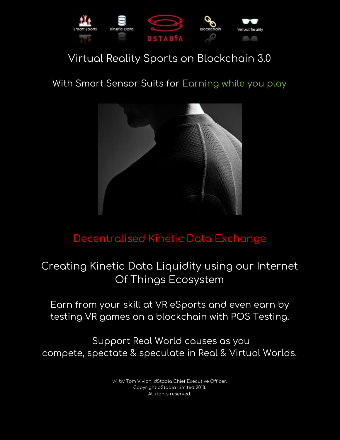

### Virtual Reality Sports on Blockchain 3.0

### With Smart Sensor Suits for Earning while you play



### Decentralised Kinetic Data Exchange

### Creating Kinetic Data Liquidity using our Internet Of Things Ecosystem

Earn from your skill at VR eSports and even earn by testing VR games on a blockchain with POS Testing.

Support Real World causes as you compete, spectate & speculate in Real & Virtual Worlds.

> v4 by Tom Vivian, dStadia Chief Executive Officer. Copyright dStadia Limited 2018. All rights reserved.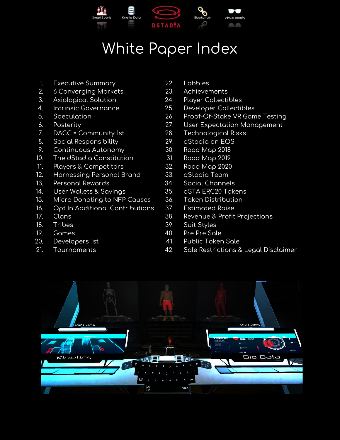

# White Paper Index

- 1. Executive Summary
- 2. 6 Converging Markets
- 3. Axiological Solution
- 4. Intrinsic Governance
- 5. Speculation
- 6. Posterity
- 7. DACC = Community 1st
- 8. Social Responsibility
- 9. Continuous Autonomy
- 10. The dStadia Constitution
- 11. Players & Competitors
- 12. Harnessing Personal Brand
- 13. Personal Rewards
- 14. User Wallets & Savings
- 15. Micro Donating to NFP Causes
- 16. Opt In Additional Contributions
- 17. Clans
- 18. Tribes
- 19. Games
- 20. Developers 1st
- 21. Tournaments
- 22. Lobbies
- 23. Achievements
- 24. Player Collectibles
- 25. Developer Collectibles
- 26. Proof-Of-Stake VR Game Testing
- 27. User Expectation Management
- 28. Technological Risks
- 29. dStadia on EOS
- 30. Road Map 2018
- 31. Road Map 2019
- 32. Road Map 2020
- 33. dStadia Team
- 34. Social Channels
- 35. dSTA ERC20 Tokens
- 36. Token Distribution
- 37. Estimated Raise
- 38. Revenue & Profit Projections
- 39. Suit Styles
- 40. Pre Pre Sale
- 41. Public Token Sale
- 42. Sale Restrictions & Legal Disclaimer

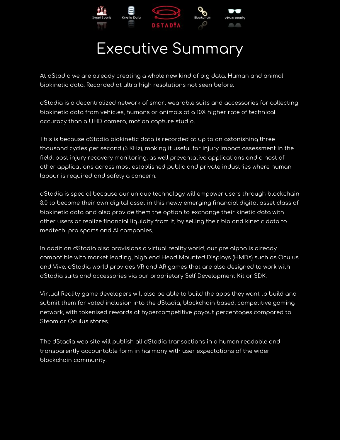

# Executive Summary

At dStadia we are already creating a whole new kind of big data. Human and animal biokinetic data. Recorded at ultra high resolutions not seen before.

dStadia is a decentralized network of smart wearable suits and accessories for collecting biokinetic data from vehicles, humans or animals at a 10X higher rate of technical accuracy than a UHD camera, motion capture studio.

This is because dStadia biokinetic data is recorded at up to an astonishing three thousand cycles per second (3 KHz), making it useful for injury impact assessment in the field, post injury recovery monitoring, as well preventative applications and a host of other applications across most established public and private industries where human labour is required and safety a concern.

dStadia is special because our unique technology will empower users through blockchain 3.0 to become their own digital asset in this newly emerging financial digital asset class of biokinetic data and also provide them the option to exchange their kinetic data with other users or realize financial liquidity from it, by selling their bio and kinetic data to medtech, pro sports and AI companies.

In addition dStadia also provisions a virtual reality world, our pre alpha is already compatible with market leading, high end Head Mounted Displays (HMDs) such as Oculus and Vive. dStadia world provides VR and AR games that are also designed to work with dStadia suits and accessories via our proprietary Self Development Kit or SDK.

Virtual Reality game developers will also be able to build the apps they want to build and submit them for voted inclusion into the dStadia, blockchain based, competitive gaming network, with tokenised rewards at hypercompetitive payout percentages compared to Steam or Oculus stores.

The dStadia web site will publish all dStadia transactions in a human readable and transparently accountable form in harmony with user expectations of the wider blockchain community.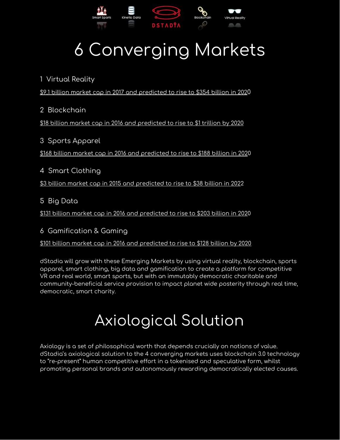

# 6 Converging Markets

1 Virtual Reality

\$9.1 billion market cap in 2017 and [predicted](https://www.idc.com/getdoc.jsp?containerId=prUS43248817) to rise to \$354 billion in 2020

2 Blockchain

\$18 billion market cap in 2016 and [predicted](https://www.express.co.uk/finance/city/915855/cryptocurrency-blockchain-bitcoin-ripple-senate-economy-banking-committee-mark-warner) to rise to \$1 trillion by 2020

3 Sports Apparel \$168 billion market cap in 2016 and [predicted](https://www.statista.com/statistics/490522/global-esports-market-revenue/) to rise to \$188 billion in 2020

4 Smart Clothing \$3 billion market cap in 2015 and [predicted](https://www.statista.com/statistics/490522/global-esports-market-revenue/) to rise to \$38 billion in 2022

5 Big Data

\$131 billion market cap in 2016 and [predicted](https://www.statista.com/statistics/490522/global-esports-market-revenue/) to rise to \$203 billion in 2020

6 Gamification & Gaming

\$101 billion market cap in 2016 and [predicted](https://ukie.org.uk/sites/default/files/UK%20Games%20Industry%20Fact%20Sheet%20April%202018.pdf) to rise to \$128 billion by 2020

dStadia will grow with these Emerging Markets by using virtual reality, blockchain, sports apparel, smart clothing, big data and gamification to create a platform for competitive VR and real world, smart sports, but with an immutably democratic charitable and community-beneficial service provision to impact planet wide posterity through real time, democratic, smart charity.

# Axiological Solution

Axiology is a set of philosophical worth that depends crucially on notions of value. dStadia's axiological solution to the 4 converging markets uses blockchain 3.0 technology to "re-present" human competitive effort in a tokenised and speculative form, whilst promoting personal brands and autonomously rewarding democratically elected causes.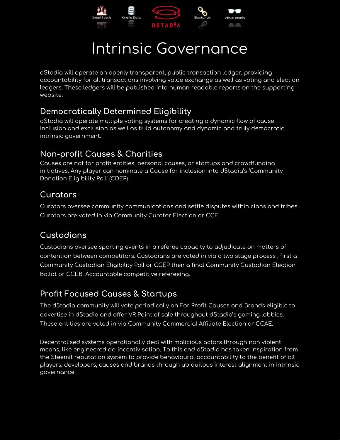

## Intrinsic Governance

dStadia will operate an openly transparent, public transaction ledger, providing accountability for all transactions involving value exchange as well as voting and election ledgers. These ledgers will be published into human readable reports on the supporting website.

#### **Democratically Determined Eligibility**

dStadia will operate multiple voting systems for creating a dynamic flow of cause inclusion and exclusion as well as fluid autonomy and dynamic and truly democratic, intrinsic government.

### **Non-profit Causes & Charities**

Causes are not for profit entities, personal causes, or startups and crowdfunding initiatives. Any player can nominate a Cause for inclusion into dStadia's 'Community Donation Eligibility Poll' (CDEP) .

### **Curators**

Curators oversee community communications and settle disputes within clans and tribes. Curators are voted in via Community Curator Election or CCE.

### **Custodians**

Custodians oversee sporting events in a referee capacity to adjudicate on matters of contention between competitors. Custodians are voted in via a two stage process , first a Community Custodian Eligibility Poll or CCEP then a final Community Custodian Election Ballot or CCEB. Accountable competitive refereeing.

### **Profit Focused Causes & Startups**

The dStadia community will vote periodically on For Profit Causes and Brands eligible to advertise in dStadia and offer VR Point of sale throughout dStadia's gaming lobbies. These entities are voted in via Community Commercial Affiliate Election or CCAE.

Decentralised systems operationally deal with malicious actors through non violent means, like engineered de-incentivisation. To this end dStadia has taken inspiration from the Steemit reputation system to provide behavioural accountability to the benefit of all players, developers, causes and brands through ubiquitous interest alignment in intrinsic governance.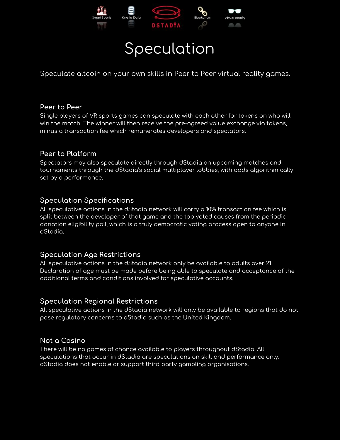

### Speculation

Speculate altcoin on your own skills in Peer to Peer virtual reality games.

#### **Peer to Peer**

Single players of VR sports games can speculate with each other for tokens on who will win the match. The winner will then receive the pre-agreed value exchange via tokens, minus a transaction fee which remunerates developers and spectators.

#### **Peer to Platform**

Spectators may also speculate directly through dStadia on upcoming matches and tournaments through the dStadia's social multiplayer lobbies, with odds algorithmically set by a performance.

#### **Speculation Specifications**

All speculative actions in the dStadia network will carry a 10% transaction fee which is split between the developer of that game and the top voted causes from the periodic donation eligibility poll, which is a truly democratic voting process open to anyone in dStadia.

#### **Speculation Age Restrictions**

All speculative actions in the dStadia network only be available to adults over 21. Declaration of age must be made before being able to speculate and acceptance of the additional terms and conditions involved for speculative accounts.

#### **Speculation Regional Restrictions**

All speculative actions in the dStadia network will only be available to regions that do not pose regulatory concerns to dStadia such as the United Kingdom.

#### **Not a Casino**

There will be no games of chance available to players throughout dStadia. All speculations that occur in dStadia are speculations on skill and performance only. dStadia does not enable or support third party gambling organisations.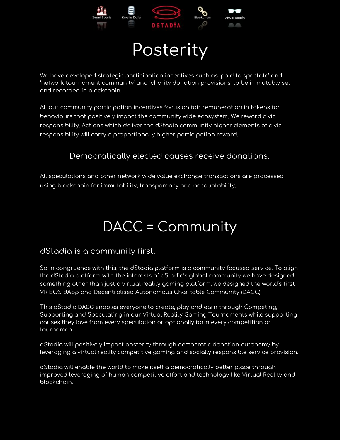

# **Posterity**

We have developed strategic participation incentives such as 'paid to spectate' and 'network tournament community' and 'charity donation provisions' to be immutably set and recorded in blockchain.

All our community participation incentives focus on fair remuneration in tokens for behaviours that positively impact the community wide ecosystem. We reward civic responsibility. Actions which deliver the dStadia community higher elements of civic responsibility will carry a proportionally higher participation reward.

#### Democratically elected causes receive donations.

All speculations and other network wide value exchange transactions are processed using blockchain for immutability, transparency and accountability.

# DACC = Community

#### dStadia is a community first.

So in congruence with this, the dStadia platform is a community focused service. To align the dStadia platform with the interests of dStadia's global community we have designed something other than just a virtual reality gaming platform, we designed the world's first VR EOS dApp and Decentralised Autonomous Charitable Community (DACC).

This dStadia DACC enables everyone to create, play and earn through Competing, Supporting and Speculating in our Virtual Reality Gaming Tournaments while supporting causes they love from every speculation or optionally form every competition or tournament.

dStadia will positively impact posterity through democratic donation autonomy by leveraging a virtual reality competitive gaming and socially responsible service provision.

dStadia will enable the world to make itself a democratically better place through improved leveraging of human competitive effort and technology like Virtual Reality and blockchain.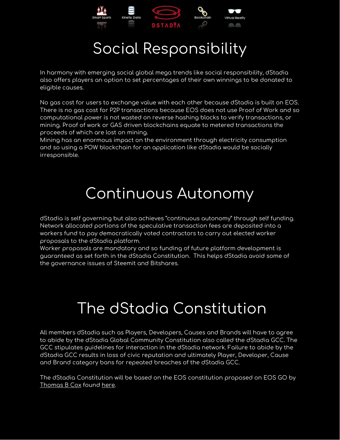

# Social Responsibility

In harmony with emerging social global mega trends like social responsibility, dStadia also offers players an option to set percentages of their own winnings to be donated to eligible causes.

No gas cost for users to exchange value with each other because dStadia is built on EOS. There is no gas cost for P2P transactions because EOS does not use Proof of Work and so computational power is not wasted on reverse hashing blocks to verify transactions, or mining. Proof of work or GAS driven blockchains equate to metered transactions the proceeds of which are lost on mining.

Mining has an enormous impact on the environment through electricity consumption and so using a POW blockchain for an application like dStadia would be socially irresponsible.

# Continuous Autonomy

dStadia is self governing but also achieves "continuous autonomy" through self funding. Network allocated portions of the speculative transaction fees are deposited into a workers fund to pay democratically voted contractors to carry out elected worker proposals to the dStadia platform.

Worker proposals are mandatory and so funding of future platform development is guaranteed as set forth in the dStadia Constitution. This helps dStadia avoid some of the governance issues of Steemit and Bitshares.

# The dStadia Constitution

All members dStadia such as Players, Developers, Causes and Brands will have to agree to abide by the dStadia Global Community Constitution also called the dStadia GCC. The GCC stipulates guidelines for interaction in the dStadia network. Failure to abide by the dStadia GCC results in loss of civic reputation and ultimately Player, Developer, Cause and Brand category bans for repeated breaches of the dStadia GCC.

The dStadia Constitution will be based on the EOS constitution proposed on EOS GO by [Thomas](https://forums.eosgo.io/profile/thomasbcox) B Cox found [here.](https://forums.eosgo.io/discussion/424/design-principles-of-my-v0-1-draft-eos-io-constitution)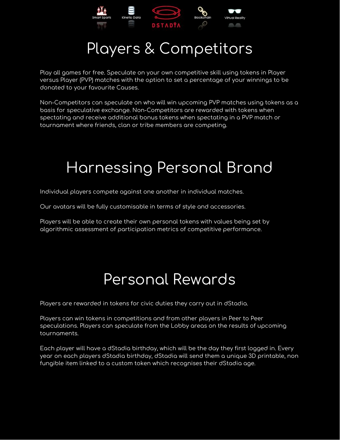

# Players & Competitors

Play all games for free. Speculate on your own competitive skill using tokens in Player versus Player (PVP) matches with the option to set a percentage of your winnings to be donated to your favourite Causes.

Non-Competitors can speculate on who will win upcoming PVP matches using tokens as a basis for speculative exchange. Non-Competitors are rewarded with tokens when spectating and receive additional bonus tokens when spectating in a PVP match or tournament where friends, clan or tribe members are competing.

# Harnessing Personal Brand

Individual players compete against one another in individual matches.

Our avatars will be fully customisable in terms of style and accessories.

Players will be able to create their own personal tokens with values being set by algorithmic assessment of participation metrics of competitive performance.

### Personal Rewards

Players are rewarded in tokens for civic duties they carry out in dStadia.

Players can win tokens in competitions and from other players in Peer to Peer speculations. Players can speculate from the Lobby areas on the results of upcoming tournaments.

Each player will have a dStadia birthday, which will be the day they first logged in. Every year on each players dStadia birthday, dStadia will send them a unique 3D printable, non fungible item linked to a custom token which recognises their dStadia age.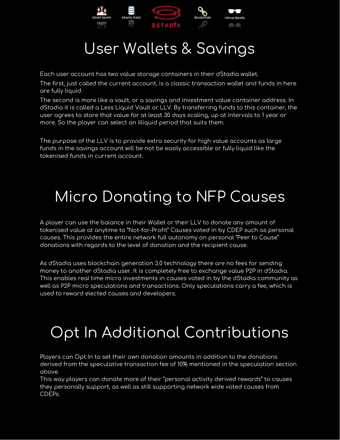

# User Wallets & Savings

Each user account has two value storage containers in their dStadia wallet.

The first, just called the current account, is a classic transaction wallet and funds in here are fully liquid.

The second is more like a vault, or a savings and investment value container address. In dStadia it is called a Less Liquid Vault or LLV. By transferring funds to this container, the user agrees to store that value for at least 30 days scaling, up at intervals to 1 year or more. So the player can select an illiquid period that suits them.

The purpose of the LLV is to provide extra security for high value accounts as large funds in the savings account will be not be easily accessible or fully liquid like the tokenised funds in current account.

# Micro Donating to NFP Causes

A player can use the balance in their Wallet or their LLV to donate any amount of tokenised value at anytime to "Not-for-Profit" Causes voted in by CDEP such as personal causes. This provides the entire network full autonomy on personal "Peer to Cause" donations with regards to the level of donation and the recipient cause.

As dStadia uses blockchain generation 3.0 technology there are no fees for sending money to another dStadia user. It is completely free to exchange value P2P in dStadia. This enables real time micro investments in causes voted in by the dStadia community as well as P2P micro speculations and transactions. Only speculations carry a fee, which is used to reward elected causes and developers.

# Opt In Additional Contributions

Players can Opt In to set their own donation amounts in addition to the donations derived from the speculative transaction fee of 10% mentioned in the speculation section above.

This way players can donate more of their "personal activity derived rewards" to causes they personally support, as well as still supporting network wide voted causes from CDEPs.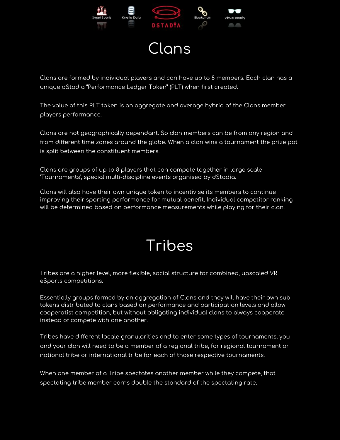

### Clans

Clans are formed by individual players and can have up to 8 members. Each clan has a unique dStadia "Performance Ledger Token" (PLT) when first created.

The value of this PLT token is an aggregate and average hybrid of the Clans member players performance.

Clans are not geographically dependant. So clan members can be from any region and from different time zones around the globe. When a clan wins a tournament the prize pot is split between the constituent members.

Clans are groups of up to 8 players that can compete together in large scale 'Tournaments', special multi-discipline events organised by dStadia.

Clans will also have their own unique token to incentivise its members to continue improving their sporting performance for mutual benefit. Individual competitor ranking will be determined based on performance measurements while playing for their clan.

# Tribes

Tribes are a higher level, more flexible, social structure for combined, upscaled VR eSports competitions.

Essentially groups formed by an aggregation of Clans and they will have their own sub tokens distributed to clans based on performance and participation levels and allow cooperatist competition, but without obligating individual clans to always cooperate instead of compete with one another.

Tribes have different locale granularities and to enter some types of tournaments, you and your clan will need to be a member of a regional tribe, for regional tournament or national tribe or international tribe for each of those respective tournaments.

When one member of a Tribe spectates another member while they compete, that spectating tribe member earns double the standard of the spectating rate.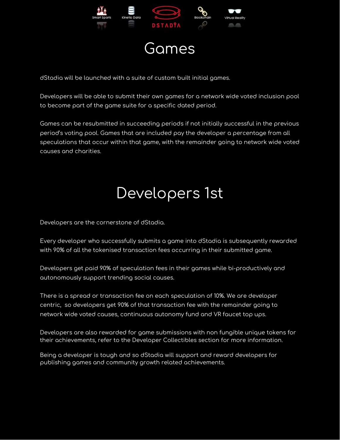

### Games

dStadia will be launched with a suite of custom built initial games.

Developers will be able to submit their own games for a network wide voted inclusion pool to become part of the game suite for a specific dated period.

Games can be resubmitted in succeeding periods if not initially successful in the previous period's voting pool. Games that are included pay the developer a percentage from all speculations that occur within that game, with the remainder going to network wide voted causes and charities.

# Developers 1st

Developers are the cornerstone of dStadia.

Every developer who successfully submits a game into dStadia is subsequently rewarded with 90% of all the tokenised transaction fees occurring in their submitted game.

Developers get paid 90% of speculation fees in their games while bi-productively and autonomously support trending social causes.

There is a spread or transaction fee on each speculation of 10%. We are developer centric, so developers get 90% of that transaction fee with the remainder going to network wide voted causes, continuous autonomy fund and VR faucet top ups.

Developers are also rewarded for game submissions with non fungible unique tokens for their achievements, refer to the Developer Collectibles section for more information.

Being a developer is tough and so dStadia will support and reward developers for publishing games and community growth related achievements.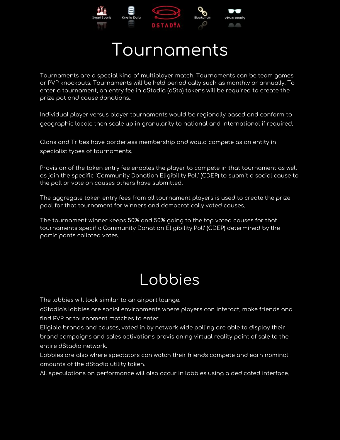

# Tournaments

Tournaments are a special kind of multiplayer match. Tournaments can be team games or PVP knockouts. Tournaments will be held periodically such as monthly or annually. To enter a tournament, an entry fee in dStadia (dSta) tokens will be required to create the prize pot and cause donations..

Individual player versus player tournaments would be regionally based and conform to geographic locale then scale up in granularity to national and international if required.

Clans and Tribes have borderless membership and would compete as an entity in specialist types of tournaments.

Provision of the token entry fee enables the player to compete in that tournament as well as join the specific 'Community Donation Eligibility Poll' (CDEP) to submit a social cause to the poll or vote on causes others have submitted.

The aggregate token entry fees from all tournament players is used to create the prize pool for that tournament for winners and democratically voted causes.

The tournament winner keeps 50% and 50% going to the top voted causes for that tournaments specific Community Donation Eligibility Poll' (CDEP) determined by the participants collated votes.

### Lobbies

The lobbies will look similar to an airport lounge.

dStadia's lobbies are social environments where players can interact, make friends and find PVP or tournament matches to enter.

Eligible brands and causes, voted in by network wide polling are able to display their brand campaigns and sales activations provisioning virtual reality point of sale to the entire dStadia network.

Lobbies are also where spectators can watch their friends compete and earn nominal amounts of the dStadia utility token.

All speculations on performance will also occur in lobbies using a dedicated interface.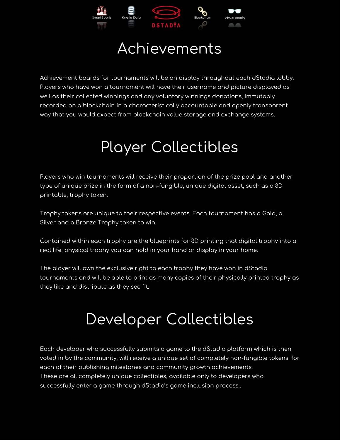

### Achievements

Achievement boards for tournaments will be on display throughout each dStadia lobby. Players who have won a tournament will have their username and picture displayed as well as their collected winnings and any voluntary winnings donations, immutably recorded on a blockchain in a characteristically accountable and openly transparent way that you would expect from blockchain value storage and exchange systems.

# Player Collectibles

Players who win tournaments will receive their proportion of the prize pool and another type of unique prize in the form of a non-fungible, unique digital asset, such as a 3D printable, trophy token.

Trophy tokens are unique to their respective events. Each tournament has a Gold, a Silver and a Bronze Trophy token to win.

Contained within each trophy are the blueprints for 3D printing that digital trophy into a real life, physical trophy you can hold in your hand or display in your home.

The player will own the exclusive right to each trophy they have won in dStadia tournaments and will be able to print as many copies of their physically printed trophy as they like and distribute as they see fit.

# Developer Collectibles

Each developer who successfully submits a game to the dStadia platform which is then voted in by the community, will receive a unique set of completely non-fungible tokens, for each of their publishing milestones and community growth achievements. These are all completely unique collectibles, available only to developers who successfully enter a game through dStadia's game inclusion process..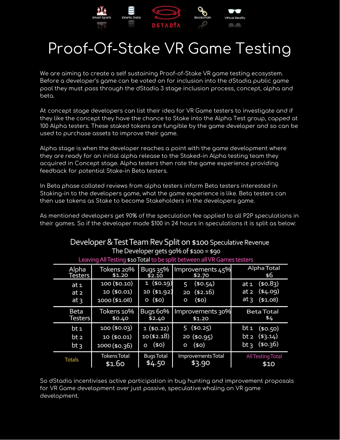

# Proof-Of-Stake VR Game Testing

We are aiming to create a self sustaining Proof-of-Stake VR game testing ecosystem. Before a developer's game can be voted on for inclusion into the dStadia public game pool they must pass through the dStadia 3 stage inclusion process, concept, alpha and beta.

At concept stage developers can list their idea for VR Game testers to investigate and if they like the concept they have the chance to Stake into the Alpha Test group, capped at 100 Alpha testers. These staked tokens are fungible by the game developer and so can be used to purchase assets to improve their game.

Alpha stage is when the developer reaches a point with the game development where they are ready for an initial alpha release to the Staked-in Alpha testing team they acquired in Concept stage. Alpha testers then rate the game experience providing feedback for potential Stake-in Beta testers.

In Beta phase collated reviews from alpha testers inform Beta testers interested in Staking-in to the developers game, what the game experience is like. Beta testers can then use tokens as Stake to become Stakeholders in the developers game.

As mentioned developers get 90% of the speculation fee applied to all P2P speculations in their games. So if the developer made \$100 in 24 hours in speculations it is split as below:

| Developer & Test Team Rev Split on \$100 Speculative Revenue            |                                              |                                        |                                                |                                                                                |  |  |  |
|-------------------------------------------------------------------------|----------------------------------------------|----------------------------------------|------------------------------------------------|--------------------------------------------------------------------------------|--|--|--|
| The Developer gets 90% of $$100 = $90$                                  |                                              |                                        |                                                |                                                                                |  |  |  |
| Leaving All Testing \$10 Total to be split between all VR Games testers |                                              |                                        |                                                |                                                                                |  |  |  |
| Alpha<br><b>Testers</b>                                                 | Tokens 20%<br>\$1.20                         | Bugs 35%<br>\$2.10                     | Improvements 45%<br>\$2.70                     | Alpha Total<br>\$6                                                             |  |  |  |
| at <sub>1</sub><br>at <sub>2</sub><br>at <sub>3</sub>                   | 100 (\$0.10)<br>10 (\$0.01)<br>1000 (\$1.08) | 1(50.19)<br>10 (\$1.92)<br>(40)<br>O   | (\$0.54)<br>5<br>( \$2.16)<br>20<br>(\$0)<br>O | (50.83)<br>at <sub>1</sub><br>(\$4.09)<br>at 2<br>at <sub>3</sub><br>(\$1.08)  |  |  |  |
| <b>Beta</b><br><b>Testers</b>                                           | Tokens 10%<br>\$0.40                         | Bugs 60%                               | Improvements 30%                               | <b>Beta Total</b>                                                              |  |  |  |
|                                                                         |                                              | \$2.40                                 | \$1.20                                         | \$4                                                                            |  |  |  |
| bt 1<br>bt 2<br>$bt_3$                                                  | 100(\$0.03)<br>10 (\$0.01)<br>1000 (\$0.36)  | 1(50.22)<br>$10($ \$2.18)<br>(50)<br>о | (50.25)<br>5<br>20(\$0.95)<br>(50)<br>o        | bt 1<br>(\$0.50)<br>(\$3.14)<br>bt <sub>2</sub><br>(\$0.36)<br>bt <sub>3</sub> |  |  |  |

So dStadia incentivises active participation in bug hunting and improvement proposals for VR Game development over just passive, speculative whaling on VR game development.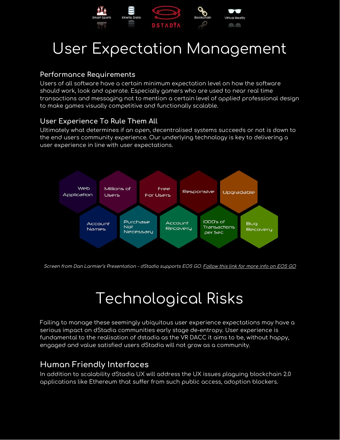

# User Expectation Management

#### **Performance Requirements**

Users of all software have a certain minimum expectation level on how the software should work, look and operate. Especially gamers who are used to near real time transactions and messaging not to mention a certain level of applied professional design to make games visually competitive and functionally scalable.

#### **User Experience To Rule Them All**

Ultimately what determines if an open, decentralised systems succeeds or not is down to the end users community experience. Our underlying technology is key to delivering a user experience in line with user expectations.



Screen from Dan Larmier's Presentation - dStadia [supports](https://forums.eosgo.io/) EOS GO. [Follow](https://forums.eosgo.io/) this link for more info on EOS GO

# Technological Risks

Failing to manage these seemingly ubiquitous user experience expectations may have a serious impact on dStadia communities early stage de-entropy. User experience is fundamental to the realisation of dstadia as the VR DACC it aims to be, without happy, engaged and value satisfied users dStadia will not grow as a community.

#### **Human Friendly Interfaces**

In addition to scalability dStadia UX will address the UX issues plaguing blockchain 2.0 applications like Ethereum that suffer from such public access, adoption blockers.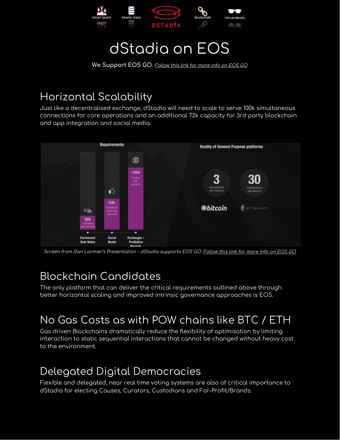

### dStadia on EOS

**We [Support](https://forums.eosgo.io/) EOS GO**[.](https://forums.eosgo.io/) [Follow](https://forums.eosgo.io/) this link for more info on EOS GO

### Horizontal Scalability

Just like a decentralised exchange, dStadia will need to scale to serve 100k simultaneous connections for core operations and an additional 72k capacity for 3rd party blockchain and app integration and social media.



Screen from Dan Larmier's Presentation - dStadia [supports](https://forums.eosgo.io/) EOS GO. [Follow](https://forums.eosgo.io/) this link for more info on EOS GO

### Blockchain Candidates

The only platform that can deliver the critical requirements outlined above through better horizontal scaling and improved intrinsic governance approaches is EOS.

### No Gas Costs as with POW chains like BTC / ETH

Gas driven Blockchains dramatically reduce the flexibility of optimisation by limiting interaction to static sequential interactions that cannot be changed without heavy cost to the environment.

### Delegated Digital Democracies

Flexible and delegated, near real time voting systems are also of critical importance to dStadia for electing Causes, Curators, Custodians and For-Profit/Brands.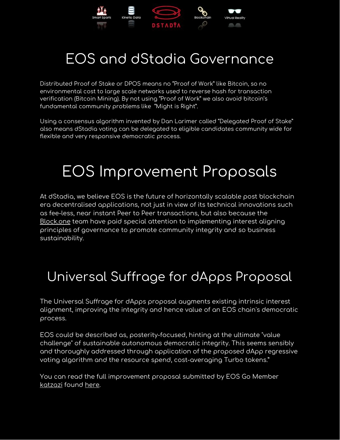

### EOS and dStadia Governance

Distributed Proof of Stake or DPOS means no "Proof of Work" like Bitcoin, so no environmental cost to large scale networks used to reverse hash for transaction verification (Bitcoin Mining). By not using "Proof of Work" we also avoid bitcoin's fundamental community problems like "Might is Right".

Using a consensus algorithm invented by Dan Larimer called "Delegated Proof of Stake" also means dStadia voting can be delegated to eligible candidates community wide for flexible and very responsive democratic process.

### EOS Improvement Proposals

At dStadia, we believe EOS is the future of horizontally scalable post blockchain era decentralised applications, not just in view of its technical innovations such as fee-less, near instant Peer to Peer transactions, but also because the [Block.one](https://block.one/) team have paid special attention to implementing interest aligning principles of governance to promote community integrity and so business sustainability.

### Universal Suffrage for dApps [Proposal](https://forums.eosgo.io/discussion/234/universal-suffrage-for-dapps-a-proposal)

The Universal Suffrage for dApps proposal augments existing intrinsic interest alignment, improving the integrity and hence value of an EOS chain's democratic process.

EOS could be described as, posterity-focused, hinting at the ultimate "value challenge" of sustainable autonomous democratic integrity. This seems sensibly and thoroughly addressed through application of the proposed dApp regressive voting algorithm and the resource spend, cost-averaging Turbo tokens."

You can read the full improvement proposal submitted by EOS Go Member [katzazi](https://forums.eosgo.io/profile/katzazi) found [here](https://forums.eosgo.io/discussion/234/universal-suffrage-for-dapps-a-proposal).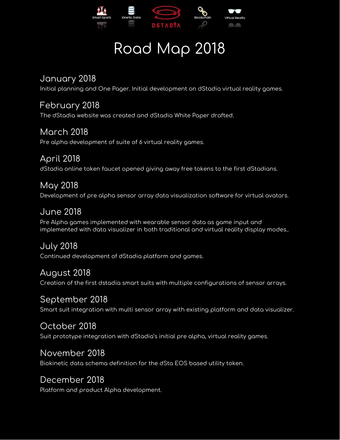

# Road Map 2018

January 2018

Initial planning and One Pager. Initial development on dStadia virtual reality games.

February 2018 The dStadia website was created and dStadia White Paper drafted.

March 2018 Pre alpha development of suite of 6 virtual reality games.

April 2018 dStadia online token faucet opened giving away free tokens to the first dStadians.

May 2018 Development of pre alpha sensor array data visualization software for virtual avatars.

June 2018 Pre Alpha games implemented with wearable sensor data as game input and implemented with data visualizer in both traditional and virtual reality display modes..

July 2018 Continued development of dStadia platform and games.

August 2018 Creation of the first dstadia smart suits with multiple configurations of sensor arrays.

### September 2018

Smart suit integration with multi sensor array with existing platform and data visualizer.

### October 2018

Suit prototype integration with dStadia's initial pre alpha, virtual reality games.

### November 2018

Biokinetic data schema definition for the dSta EOS based utility token.

### December 2018

Platform and product Alpha development.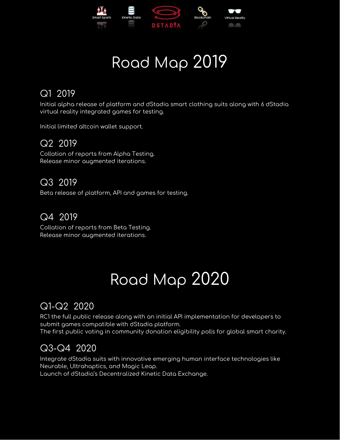

# Road Map 2019

### Q1 2019

Initial alpha release of platform and dStadia smart clothing suits along with 6 dStadia virtual reality integrated games for testing.

Initial limited altcoin wallet support.

### Q2 2019

Collation of reports from Alpha Testing. Release minor augmented iterations.

### Q3 2019

Beta release of platform, API and games for testing.

### Q4 2019

Collation of reports from Beta Testing. Release minor augmented iterations.

# Road Map 2020

### Q1-Q2 2020

RC1 the full public release along with an initial API implementation for developers to submit games compatible with dStadia platform. The first public voting in community donation eligibility polls for global smart charity.

### Q3-Q4 2020

Integrate dStadia suits with innovative emerging human interface technologies like Neurable, Ultrahaptics, and Magic Leap. Launch of dStadia's Decentralized Kinetic Data Exchange.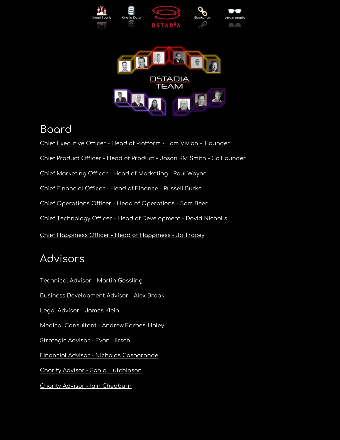



### Board

Chief [Executive](https://www.linkedin.com/in/tomvivian) Officer - Head of Platform - Tom Vivian - Founder

Chief Product Officer - Head of Product - Jason RM Smith - Co [Founder](https://www.linkedin.com/in/jasonrmsmith/)

Chief [Marketing](https://www.linkedin.com/in/pwayne/) Officer - Head of Marketing - Paul Wayne

Chief [Financial](https://www.linkedin.com/in/russellburke/) Officer - Head of Finance - Russell Burke

Chief [Operations](https://www.linkedin.com/in/sam-beer-a5725638/) Officer - Head of Operations - Sam Bee[r](https://www.linkedin.com/in/jasonrmsmith/)

Chief Technology Officer - Head of [Development](https://www.linkedin.com/in/david-nicholls-639269158/) - David Nicholls

Chief [Happiness](https://www.linkedin.com/in/joanne-tracey-8b2b6617/) Officer - Head of Happiness - Jo Tracey

### Advisors

[Technical](https://www.linkedin.com/in/gossling/) Advisor - Martin Gossling

Business [Development](https://www.linkedin.com/in/alex-g-brook/) Advisor - Alex Brook

Legal [Advisor](https://www.linkedin.com/in/jamesklein1/) - James Klein

Medical Consultant - Andrew [Forbes-Haley](https://www.linkedin.com/in/andrew-forbes-haley-257b025b/)

[Strategic](https://www.linkedin.com/in/evan-hirsch-138961/) Advisor - Evan Hirsch

Financial Advisor - Nicholas [Casagrande](https://www.linkedin.com/in/nicholascasagrande/)

Charity Advisor - Sonia [Hutchinson](https://www.linkedin.com/in/sonia-hutchison-0a91303b/)

Charity Advisor - Iain [Chedburn](https://www.linkedin.com/in/iain-chedburn-88358a30/)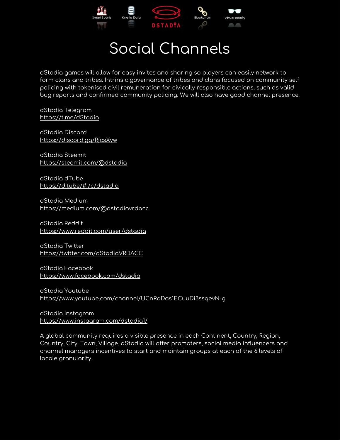

# Social Channels

dStadia games will allow for easy invites and sharing so players can easily network to form clans and tribes. Intrinsic governance of tribes and clans focused on community self policing with tokenised civil remuneration for civically responsible actions, such as valid bug reports and confirmed community policing. We will also have good channel presence.

dStadia Telegram https://t.me/dStadia

dStadia Discord https://discord.gg/RjcsXyw

dStadia Steemit https://steemit.com/@dstadia

dStadia dTube https://d.tube/#!/c/dstadia

dStadia Medium <https://medium.com/@dstadiavrdacc>

dStadia Reddit https://www.reddit.com/user/dstadia

dStadia Twitter <https://twitter.com/dStadiaVRDACC>

dStadia Facebook https://www.facebook.com/dstadia

dStadia Youtube https://www.youtube.com/channel/UCnRdDas1ECuuDi3ssqevN-g

dStadia Instagram https://www.instagram.com/dstadia1/

A global community requires a visible presence in each Continent, Country, Region, Country, City, Town, Village. dStadia will offer promoters, social media influencers and channel managers incentives to start and maintain groups at each of the 6 levels of locale granularity.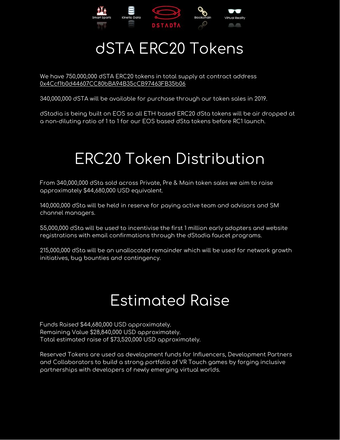

# dSTA ERC20 Tokens

We have 750,000,000 dSTA ERC20 tokens in total supply at contract address [0x4Ccf1b0d44607CC80bBA94B35cCB97463FB35b06](https://etherscan.io/address/0x4Ccf1b0d44607CC80bBA94B35cCB97463FB35b06)

340,000,000 dSTA will be available for purchase through our token sales in 2019.

dStadia is being built on EOS so all ETH based ERC20 dSta tokens will be air dropped at a non-diluting ratio of 1 to 1 for our EOS based dSta tokens before RC1 launch.

# ERC20 Token Distribution

From 340,000,000 dSta sold across Private, Pre & Main token sales we aim to raise approximately \$44,680,000 USD equivalent.

140,000,000 dSta will be held in reserve for paying active team and advisors and SM channel managers.

55,000,000 dSta will be used to incentivise the first 1 million early adopters and website registrations with email confirmations through the dStadia faucet programs.

215,000,000 dSta will be an unallocated remainder which will be used for network growth initiatives, bug bounties and contingency.

### Estimated Raise

Funds Raised \$44,680,000 USD approximately. Remaining Value \$28,840,000 USD approximately. Total estimated raise of \$73,520,000 USD approximately.

Reserved Tokens are used as development funds for Influencers, Development Partners and Collaborators to build a strong portfolio of VR Touch games by forging inclusive partnerships with developers of newly emerging virtual worlds.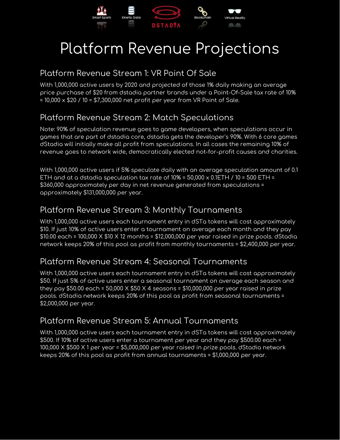

# Platform Revenue Projections

### Platform Revenue Stream 1: VR Point Of Sale

With 1,000,000 active users by 2020 and projected of those 1% daily making an average price purchase of \$20 from dstadia partner brands under a Point-Of-Sale tax rate of 10% = 10,000 x \$20 / 10 = \$7,300,000 net profit per year from VR Point of Sale.

### Platform Revenue Stream 2: Match Speculations

Note: 90% of speculation revenue goes to game developers, when speculations occur in games that are part of dstadia core, dstadia gets the developer's 90%. With 6 core games dStadia will initially make all profit from speculations. In all cases the remaining 10% of revenue goes to network wide, democratically elected not-for-profit causes and charities.

With 1,000,000 active users if 5% speculate daily with an average speculation amount of 0.1 ETH and at a dstadia speculation tax rate of  $10\%$  =  $50,000 \times 0.1$ ETH /  $10 = 500$  ETH = \$360,000 approximately per day in net revenue generated from speculations = approximately \$131,000,000 per year.

### Platform Revenue Stream 3: Monthly Tournaments

With 1,000,000 active users each tournament entry in dSTa tokens will cost approximately \$10. If just 10% of active users enter a tournament on average each month and they pay \$10.00 each = 100,000 X \$10 X 12 months = \$12,000,000 per year raised in prize pools. dStadia network keeps 20% of this pool as profit from monthly tournaments = \$2,400,000 per year.

### Platform Revenue Stream 4: Seasonal Tournaments

With 1,000,000 active users each tournament entry in dSTa tokens will cost approximately \$50. If just 5% of active users enter a seasonal tournament on average each season and they pay  $$50.00$  each =  $50,000 \times $50 \times 4$  seasons =  $$10,000,000$  per year raised in prize pools. dStadia network keeps 20% of this pool as profit from seasonal tournaments = \$2,000,000 per year.

### Platform Revenue Stream 5: Annual Tournaments

With 1,000,000 active users each tournament entry in dSTa tokens will cost approximately \$500. If 10% of active users enter a tournament per year and they pay \$500.00 each = 100,000 X \$500 X 1 per year = \$5,000,000 per year raised in prize pools. dStadia network keeps 20% of this pool as profit from annual tournaments = \$1,000,000 per year.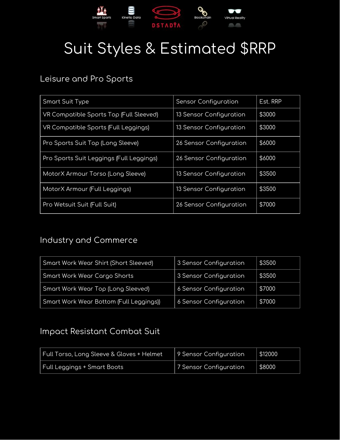

# Suit Styles & Estimated \$RRP

### Leisure and Pro Sports

| Smart Suit Type                          | <b>Sensor Configuration</b>    | Est. RRP |
|------------------------------------------|--------------------------------|----------|
| VR Compatible Sports Top (Full Sleeved)  | <b>13 Sensor Configuration</b> | \$3000   |
| VR Compatible Sports (Full Leggings)     | 13 Sensor Configuration        | \$3000   |
| Pro Sports Suit Top (Long Sleeve)        | 26 Sensor Configuration        | \$6000   |
| Pro Sports Suit Leggings (Full Leggings) | 26 Sensor Configuration        | \$6000   |
| MotorX Armour Torso (Long Sleeve)        | <b>13 Sensor Configuration</b> | \$3500   |
| MotorX Armour (Full Leggings)            | 13 Sensor Configuration        | \$3500   |
| Pro Wetsuit Suit (Full Suit)             | 26 Sensor Configuration        | \$7000   |

### Industry and Commerce

| Smart Work Wear Shirt (Short Sleeved)   | 3 Sensor Configuration | \$3500 |
|-----------------------------------------|------------------------|--------|
| Smart Work Wear Cargo Shorts            | 3 Sensor Configuration | \$3500 |
| Smart Work Wear Top (Long Sleeved)      | 6 Sensor Configuration | \$7000 |
| Smart Work Wear Bottom (Full Leggings)) | 6 Sensor Configuration | \$7000 |

### Impact Resistant Combat Suit

| Full Torso, Long Sleeve & Gloves + Helmet 1 | 9 Sensor Configuration | \$12000 |
|---------------------------------------------|------------------------|---------|
| Full Leggings + Smart Boots                 | 7 Sensor Configuration | \$8000  |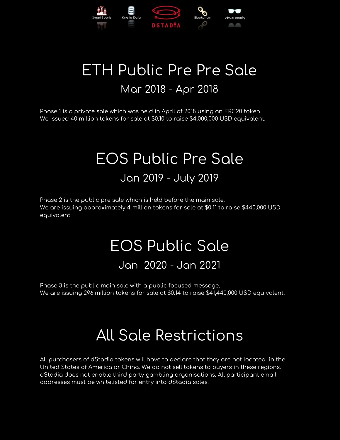

### ETH Public Pre Pre Sale Mar 2018 - Apr 2018

Phase 1 is a private sale which was held in April of 2018 using an ERC20 token. We issued 40 million tokens for sale at \$0.10 to raise \$4,000,000 USD equivalent.

### EOS Public Pre Sale Jan 2019 - July 2019

Phase 2 is the public pre sale which is held before the main sale. We are issuing approximately 4 million tokens for sale at \$0.11 to raise \$440,000 USD equivalent.

### EOS Public Sale Jan 2020 - Jan 2021

Phase 3 is the public main sale with a public focused message. We are issuing 296 million tokens for sale at \$0.14 to raise \$41,440,000 USD equivalent.

# All Sale Restrictions

All purchasers of dStadia tokens will have to declare that they are not located in the United States of America or China. We do not sell tokens to buyers in these regions. dStadia does not enable third party gambling organisations. All participant email addresses must be whitelisted for entry into dStadia sales.